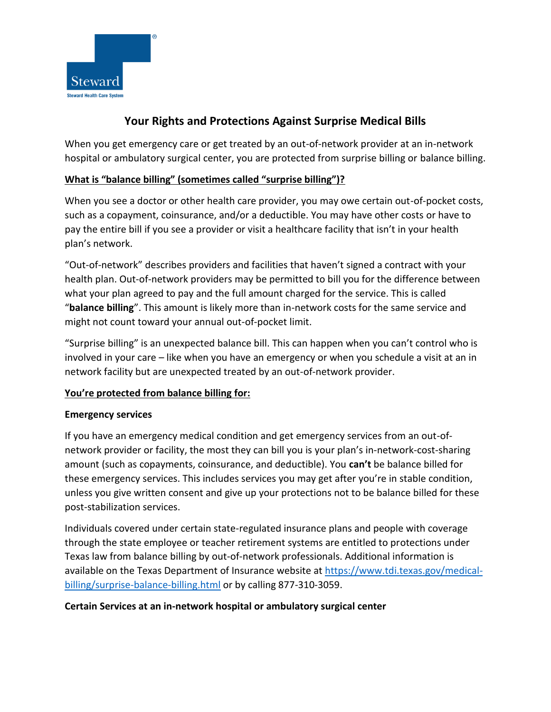

# **Your Rights and Protections Against Surprise Medical Bills**

When you get emergency care or get treated by an out-of-network provider at an in-network hospital or ambulatory surgical center, you are protected from surprise billing or balance billing.

## **What is "balance billing" (sometimes called "surprise billing")?**

When you see a doctor or other health care provider, you may owe certain out-of-pocket costs, such as a copayment, coinsurance, and/or a deductible. You may have other costs or have to pay the entire bill if you see a provider or visit a healthcare facility that isn't in your health plan's network.

"Out-of-network" describes providers and facilities that haven't signed a contract with your health plan. Out-of-network providers may be permitted to bill you for the difference between what your plan agreed to pay and the full amount charged for the service. This is called "**balance billing**". This amount is likely more than in-network costs for the same service and might not count toward your annual out-of-pocket limit.

"Surprise billing" is an unexpected balance bill. This can happen when you can't control who is involved in your care – like when you have an emergency or when you schedule a visit at an in network facility but are unexpected treated by an out-of-network provider.

## **You're protected from balance billing for:**

## **Emergency services**

If you have an emergency medical condition and get emergency services from an out-ofnetwork provider or facility, the most they can bill you is your plan's in-network-cost-sharing amount (such as copayments, coinsurance, and deductible). You **can't** be balance billed for these emergency services. This includes services you may get after you're in stable condition, unless you give written consent and give up your protections not to be balance billed for these post-stabilization services.

Individuals covered under certain state-regulated insurance plans and people with coverage through the state employee or teacher retirement systems are entitled to protections under Texas law from balance billing by out-of-network professionals. Additional information is available on the Texas Department of Insurance website at [https://www.tdi.texas.gov/medical](https://www.tdi.texas.gov/medical-billing/surprise-balance-billing.html)[billing/surprise-balance-billing.html](https://www.tdi.texas.gov/medical-billing/surprise-balance-billing.html) or by calling 877-310-3059.

#### **Certain Services at an in-network hospital or ambulatory surgical center**